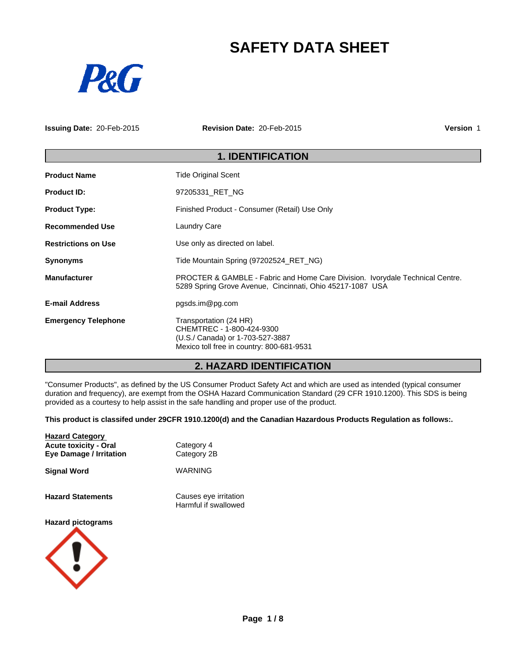# **SAFETY DATA SHEET**



**Issuing Date:** 20-Feb-2015 **Revision Date:** 20-Feb-2015 **Version** 1

# **1. IDENTIFICATION**

| <b>Product Name</b>        | <b>Tide Original Scent</b>                                                                                                                 |  |  |
|----------------------------|--------------------------------------------------------------------------------------------------------------------------------------------|--|--|
| <b>Product ID:</b>         | 97205331_RET_NG                                                                                                                            |  |  |
| <b>Product Type:</b>       | Finished Product - Consumer (Retail) Use Only                                                                                              |  |  |
| <b>Recommended Use</b>     | <b>Laundry Care</b>                                                                                                                        |  |  |
| <b>Restrictions on Use</b> | Use only as directed on label.                                                                                                             |  |  |
| <b>Synonyms</b>            | Tide Mountain Spring (97202524 RET_NG)                                                                                                     |  |  |
| <b>Manufacturer</b>        | PROCTER & GAMBLE - Fabric and Home Care Division. Ivorydale Technical Centre.<br>5289 Spring Grove Avenue, Cincinnati, Ohio 45217-1087 USA |  |  |
| <b>E-mail Address</b>      | pgsds.im@pg.com                                                                                                                            |  |  |
| <b>Emergency Telephone</b> | Transportation (24 HR)<br>CHEMTREC - 1-800-424-9300<br>(U.S./ Canada) or 1-703-527-3887<br>Mexico toll free in country: 800-681-9531       |  |  |

# **2. HAZARD IDENTIFICATION**

"Consumer Products", as defined by the US Consumer Product Safety Act and which are used as intended (typical consumer duration and frequency), are exempt from the OSHA Hazard Communication Standard (29 CFR 1910.1200). This SDS is being provided as a courtesy to help assist in the safe handling and proper use of the product.

**This product is classifed under 29CFR 1910.1200(d) and the Canadian Hazardous Products Regulation as follows:.**

| <b>Hazard Category</b><br><b>Acute toxicity - Oral</b><br><b>Eye Damage / Irritation</b> | Category 4<br>Category 2B                     |
|------------------------------------------------------------------------------------------|-----------------------------------------------|
| <b>Signal Word</b>                                                                       | WARNING                                       |
| <b>Hazard Statements</b>                                                                 | Causes eye irritation<br>Harmful if swallowed |
| <b>Hazard pictograms</b>                                                                 |                                               |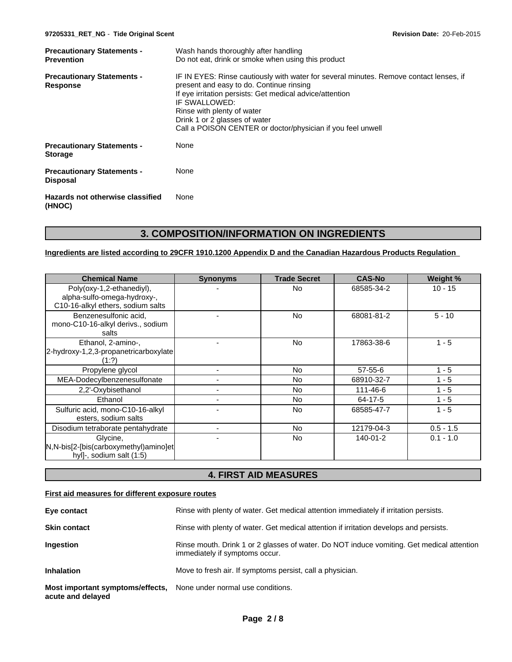| Wash hands thoroughly after handling<br><b>Precautionary Statements -</b> |                                                                                                                                                                                                                                                                                                                                               |  |  |
|---------------------------------------------------------------------------|-----------------------------------------------------------------------------------------------------------------------------------------------------------------------------------------------------------------------------------------------------------------------------------------------------------------------------------------------|--|--|
| <b>Prevention</b>                                                         | Do not eat, drink or smoke when using this product                                                                                                                                                                                                                                                                                            |  |  |
| <b>Precautionary Statements -</b><br>Response                             | IF IN EYES: Rinse cautiously with water for several minutes. Remove contact lenses, if<br>present and easy to do. Continue rinsing<br>If eye irritation persists: Get medical advice/attention<br>IF SWALLOWED:<br>Rinse with plenty of water<br>Drink 1 or 2 glasses of water<br>Call a POISON CENTER or doctor/physician if you feel unwell |  |  |
| <b>Precautionary Statements -</b><br><b>Storage</b>                       | None                                                                                                                                                                                                                                                                                                                                          |  |  |
| <b>Precautionary Statements -</b><br><b>Disposal</b>                      | None                                                                                                                                                                                                                                                                                                                                          |  |  |
| Hazards not otherwise classified<br>(HNOC)                                | None                                                                                                                                                                                                                                                                                                                                          |  |  |

# **3. COMPOSITION/INFORMATION ON INGREDIENTS**

## **Ingredients are listed according to 29CFR 1910.1200 Appendix D and the Canadian Hazardous Products Regulation**

| <b>Chemical Name</b>                                                                          | <b>Synonyms</b> | <b>Trade Secret</b> | <b>CAS-No</b> | Weight %    |
|-----------------------------------------------------------------------------------------------|-----------------|---------------------|---------------|-------------|
| Poly(oxy-1,2-ethanediyl),<br>alpha-sulfo-omega-hydroxy-,<br>C10-16-alkyl ethers, sodium salts |                 | <b>No</b>           | 68585-34-2    | $10 - 15$   |
| Benzenesulfonic acid,<br>mono-C10-16-alkyl derivs., sodium<br>salts                           |                 | <b>No</b>           | 68081-81-2    | $5 - 10$    |
| Ethanol, 2-amino-,<br>2-hydroxy-1,2,3-propanetricarboxylate<br>(1:?)                          |                 | <b>No</b>           | 17863-38-6    | $1 - 5$     |
| Propylene glycol                                                                              |                 | No                  | $57 - 55 - 6$ | $1 - 5$     |
| MEA-Dodecylbenzenesulfonate                                                                   |                 | No                  | 68910-32-7    | $1 - 5$     |
| 2,2'-Oxybisethanol                                                                            |                 | No                  | 111-46-6      | $1 - 5$     |
| Ethanol                                                                                       |                 | No.                 | 64-17-5       | $1 - 5$     |
| Sulfuric acid, mono-C10-16-alkyl<br>esters, sodium salts                                      |                 | <b>No</b>           | 68585-47-7    | $1 - 5$     |
| Disodium tetraborate pentahydrate                                                             |                 | No                  | 12179-04-3    | $0.5 - 1.5$ |
| Glycine,<br>$N,N-bis[2-[bis(carboxymethyl)amino]et]$<br>hyl]-, sodium salt (1:5)              |                 | No                  | 140-01-2      | $0.1 - 1.0$ |

# **4. FIRST AID MEASURES**

## **First aid measures for different exposure routes**

| Eye contact                                           | Rinse with plenty of water. Get medical attention immediately if irritation persists.                                       |
|-------------------------------------------------------|-----------------------------------------------------------------------------------------------------------------------------|
| <b>Skin contact</b>                                   | Rinse with plenty of water. Get medical attention if irritation develops and persists.                                      |
| Ingestion                                             | Rinse mouth. Drink 1 or 2 glasses of water. Do NOT induce vomiting. Get medical attention<br>immediately if symptoms occur. |
| <b>Inhalation</b>                                     | Move to fresh air. If symptoms persist, call a physician.                                                                   |
| Most important symptoms/effects,<br>acute and delayed | None under normal use conditions.                                                                                           |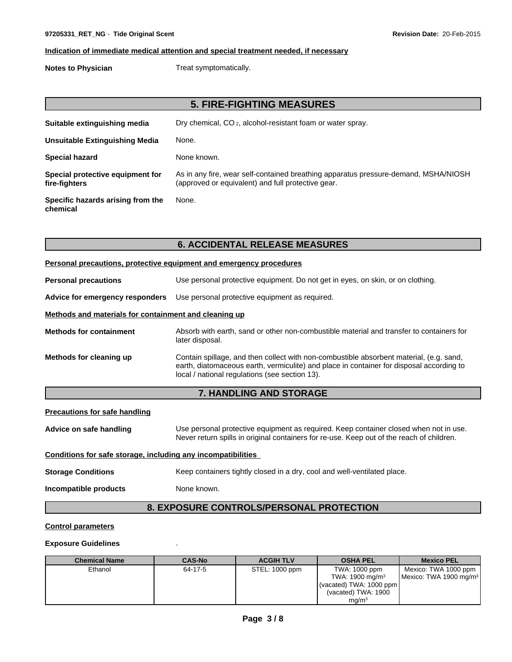## **Indication of immediate medical attention and special treatment needed, if necessary**

**Notes to Physician** Treat symptomatically.

# **5. FIRE-FIGHTING MEASURES**

| Suitable extinguishing media                      | Dry chemical, CO <sub>2</sub> , alcohol-resistant foam or water spray.                                                                    |
|---------------------------------------------------|-------------------------------------------------------------------------------------------------------------------------------------------|
| Unsuitable Extinguishing Media                    | None.                                                                                                                                     |
| <b>Special hazard</b>                             | None known.                                                                                                                               |
| Special protective equipment for<br>fire-fighters | As in any fire, wear self-contained breathing apparatus pressure-demand, MSHA/NIOSH<br>(approved or equivalent) and full protective gear. |
| Specific hazards arising from the<br>chemical     | None.                                                                                                                                     |

# **6. ACCIDENTAL RELEASE MEASURES**

|                                                       | Personal precautions, protective equipment and emergency procedures                                                                                                                                                                   |  |  |  |  |  |
|-------------------------------------------------------|---------------------------------------------------------------------------------------------------------------------------------------------------------------------------------------------------------------------------------------|--|--|--|--|--|
| <b>Personal precautions</b>                           | Use personal protective equipment. Do not get in eyes, on skin, or on clothing.                                                                                                                                                       |  |  |  |  |  |
| Advice for emergency responders                       | Use personal protective equipment as required.                                                                                                                                                                                        |  |  |  |  |  |
| Methods and materials for containment and cleaning up |                                                                                                                                                                                                                                       |  |  |  |  |  |
| <b>Methods for containment</b>                        | Absorb with earth, sand or other non-combustible material and transfer to containers for<br>later disposal.                                                                                                                           |  |  |  |  |  |
| Methods for cleaning up                               | Contain spillage, and then collect with non-combustible absorbent material, (e.g. sand,<br>earth, diatomaceous earth, vermiculite) and place in container for disposal according to<br>local / national regulations (see section 13). |  |  |  |  |  |

## **7. HANDLING AND STORAGE**

## **Precautions for safe handling**

Advice on safe handling **Use personal protective equipment as required.** Keep container closed when not in use. Never return spills in original containers for re-use. Keep out of the reach of children.

# **Conditions for safe storage, including any incompatibilities**

**Storage Conditions** Keep containers tightly closed in a dry, cool and well-ventilated place.

**Incompatible products** None known.

# **8. EXPOSURE CONTROLS/PERSONAL PROTECTION**

#### **Control parameters**

#### **Exposure Guidelines** .

| <b>Chemical Name</b> | <b>CAS-No</b> | <b>ACGIH TLV</b> | <b>OSHA PEL</b>               | <b>Mexico PEL</b>                  |
|----------------------|---------------|------------------|-------------------------------|------------------------------------|
| Ethanol              | 64-17-5       | STEL: 1000 ppm   | TWA: 1000 ppm                 | Mexico: TWA 1000 ppm               |
|                      |               |                  | TWA: 1900 mg/m <sup>3</sup>   | Mexico: TWA 1900 mg/m <sup>3</sup> |
|                      |               |                  | $\mu$ (vacated) TWA: 1000 ppm |                                    |
|                      |               |                  | (vacated) TWA: 1900           |                                    |
|                      |               |                  | mg/m <sup>3</sup>             |                                    |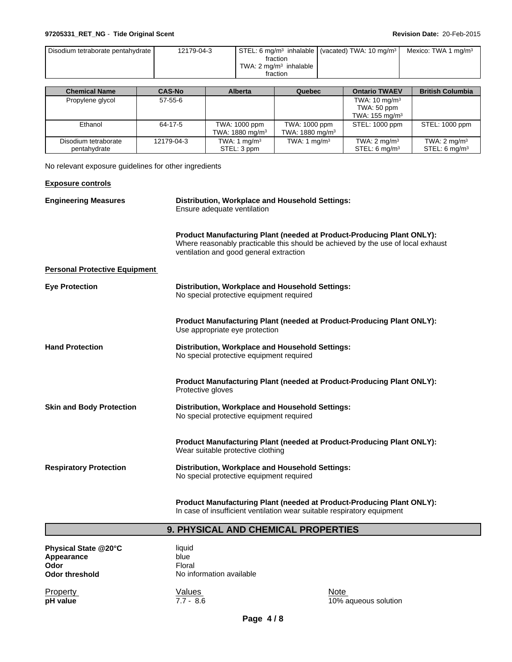## **97205331\_RET\_NG** - **Tide Original Scent Revision Date:** 20-Feb-2015

| Disodium tetraborate pentahydrate I | 12179-04-3 |                                                  | STEL: 6 mg/m <sup>3</sup> inhalable (vacated) TWA: 10 mg/m <sup>3</sup> | Mexico: TWA 1 mg/m <sup>3</sup> |  |
|-------------------------------------|------------|--------------------------------------------------|-------------------------------------------------------------------------|---------------------------------|--|
|                                     |            | fraction                                         |                                                                         |                                 |  |
|                                     |            | TWA: $2 \text{ ma/m}^3$ inhalable $\blacksquare$ |                                                                         |                                 |  |
|                                     |            | fraction                                         |                                                                         |                                 |  |

| <b>Chemical Name</b> | <b>CAS-No</b> | <b>Alberta</b>             | Quebec                      | <b>Ontario TWAEV</b>      | <b>British Columbia</b>     |
|----------------------|---------------|----------------------------|-----------------------------|---------------------------|-----------------------------|
| Propylene glycol     | 57-55-6       |                            |                             | TWA: $10 \text{ mg/m}^3$  |                             |
|                      |               |                            |                             | TWA: 50 ppm               |                             |
|                      |               |                            |                             | TWA: $155 \text{ mg/m}^3$ |                             |
| Ethanol              | 64-17-5       | TWA: 1000 ppm              | TWA: 1000 ppm               | STEL: 1000 ppm            | STEL: 1000 ppm              |
|                      |               | TWA: $1880 \text{ mg/m}^3$ | TWA: 1880 mg/m <sup>3</sup> |                           |                             |
| Disodium tetraborate | 12179-04-3    | TWA: 1 $mg/m3$             | TWA: 1 $mg/m3$              | TWA: $2 \text{ mg/m}^3$   | TWA: $2 \text{ mg/m}^3$     |
| pentahydrate         |               | STEL: 3 ppm                |                             | STEL: $6 \text{ ma/m}^3$  | $STEL: 6$ mg/m <sup>3</sup> |

No relevant exposure guidelines for other ingredients

| <b>Exposure controls</b>             |                                                                                                                                                                                                             |
|--------------------------------------|-------------------------------------------------------------------------------------------------------------------------------------------------------------------------------------------------------------|
| <b>Engineering Measures</b>          | Distribution, Workplace and Household Settings:<br>Ensure adequate ventilation                                                                                                                              |
|                                      | <b>Product Manufacturing Plant (needed at Product-Producing Plant ONLY):</b><br>Where reasonably practicable this should be achieved by the use of local exhaust<br>ventilation and good general extraction |
| <b>Personal Protective Equipment</b> |                                                                                                                                                                                                             |
| <b>Eye Protection</b>                | Distribution, Workplace and Household Settings:<br>No special protective equipment required                                                                                                                 |
|                                      | <b>Product Manufacturing Plant (needed at Product-Producing Plant ONLY):</b><br>Use appropriate eye protection                                                                                              |
| <b>Hand Protection</b>               | Distribution, Workplace and Household Settings:<br>No special protective equipment required                                                                                                                 |
|                                      | <b>Product Manufacturing Plant (needed at Product-Producing Plant ONLY):</b><br>Protective gloves                                                                                                           |
| <b>Skin and Body Protection</b>      | <b>Distribution, Workplace and Household Settings:</b><br>No special protective equipment required                                                                                                          |
|                                      | <b>Product Manufacturing Plant (needed at Product-Producing Plant ONLY):</b><br>Wear suitable protective clothing                                                                                           |
| <b>Respiratory Protection</b>        | <b>Distribution, Workplace and Household Settings:</b><br>No special protective equipment required                                                                                                          |
|                                      |                                                                                                                                                                                                             |

**Product Manufacturing Plant (needed at Product-Producing Plant ONLY):** In case of insufficient ventilation wear suitable respiratory equipment

# **9. PHYSICAL AND CHEMICAL PROPERTIES**

| Physical State @20°C | liauid         |
|----------------------|----------------|
| Appearance           | blue           |
| Odor                 | Floral         |
| Odor threshold       | No information |

**Physical State @20°C** liquid **Appearance** blue blue **No information available** 

Property **Note** Network Values Note Note Note **Property**<br> **pH value** 10% aqueous solution<br> **pH value** 10% aqueous solution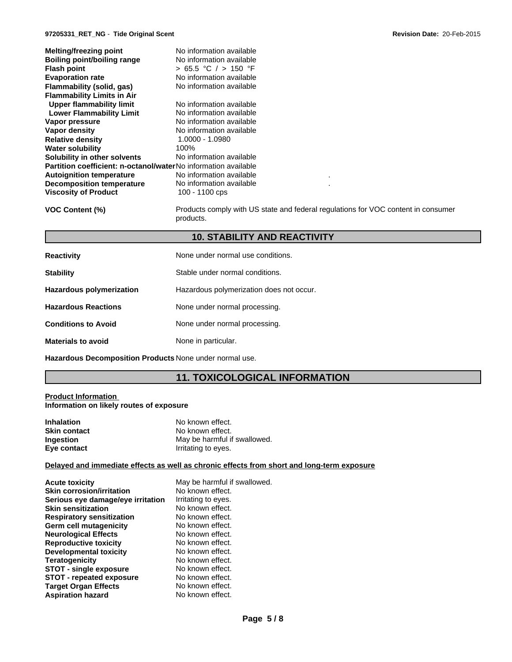| Melting/freezing point                                                | No information available      |
|-----------------------------------------------------------------------|-------------------------------|
| <b>Boiling point/boiling range</b>                                    | No information available      |
| <b>Flash point</b>                                                    | $> 65.5$ °C $/ > 150$ °F      |
| <b>Evaporation rate</b>                                               | No information available      |
| Flammability (solid, gas)                                             | No information available      |
| <b>Flammability Limits in Air</b>                                     |                               |
| Upper flammability limit                                              | No information available      |
| <b>Lower Flammability Limit</b>                                       | No information available      |
| Vapor pressure                                                        | No information available      |
| Vapor density                                                         | No information available      |
| <b>Relative density</b>                                               | 1.0000 - 1.0980               |
| <b>Water solubility</b>                                               | 100%                          |
| Solubility in other solvents                                          | No information available      |
| <b>Partition coefficient: n-octanol/waterNo information available</b> |                               |
| <b>Autoignition temperature</b>                                       | No information available<br>٠ |
| <b>Decomposition temperature</b>                                      | No information available<br>٠ |
| <b>Viscosity of Product</b>                                           | 100 - 1100 cps                |
|                                                                       |                               |

**VOC Content (%)** Products comply with US state and federal regulations for VOC content in consumer products.

# **10. STABILITY AND REACTIVITY**

| <b>Reactivity</b>               | None under normal use conditions.        |
|---------------------------------|------------------------------------------|
| <b>Stability</b>                | Stable under normal conditions.          |
| <b>Hazardous polymerization</b> | Hazardous polymerization does not occur. |
| <b>Hazardous Reactions</b>      | None under normal processing.            |
| <b>Conditions to Avoid</b>      | None under normal processing.            |
| <b>Materials to avoid</b>       | None in particular.                      |
|                                 |                                          |

**Hazardous Decomposition Products** None under normal use.

# **11. TOXICOLOGICAL INFORMATION**

#### **Product Information Information on likely routes of exposure**

| <b>Inhalation</b>   | No known effect.             |
|---------------------|------------------------------|
| <b>Skin contact</b> | No known effect.             |
| Ingestion           | May be harmful if swallowed. |
| Eye contact         | Irritating to eyes.          |

#### **Delayed and immediate effects as well as chronic effects from short and long-term exposure**

| <b>Acute toxicity</b>             | May be harmful if swallowed. |
|-----------------------------------|------------------------------|
| <b>Skin corrosion/irritation</b>  | No known effect.             |
| Serious eye damage/eye irritation | Irritating to eyes.          |
| <b>Skin sensitization</b>         | No known effect.             |
| <b>Respiratory sensitization</b>  | No known effect.             |
| Germ cell mutagenicity            | No known effect.             |
| <b>Neurological Effects</b>       | No known effect.             |
| <b>Reproductive toxicity</b>      | No known effect.             |
| Developmental toxicity            | No known effect.             |
| <b>Teratogenicity</b>             | No known effect.             |
| <b>STOT - single exposure</b>     | No known effect.             |
| <b>STOT - repeated exposure</b>   | No known effect.             |
| <b>Target Organ Effects</b>       | No known effect.             |
| <b>Aspiration hazard</b>          | No known effect.             |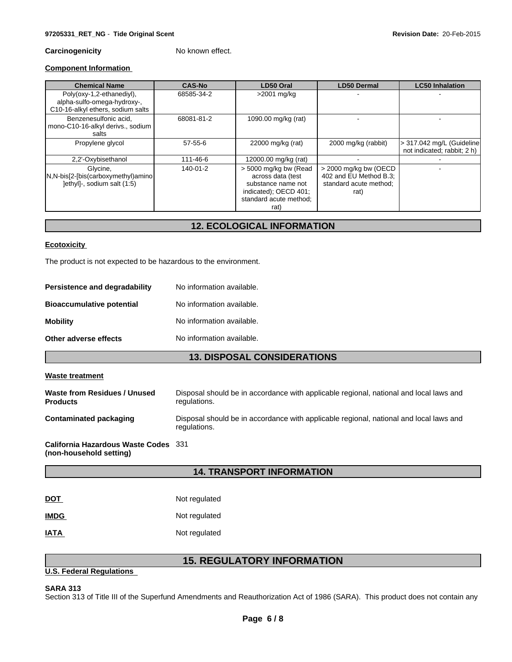## **Carcinogenicity** No known effect.

## **Component Information**

| <b>Chemical Name</b>                                                                          | <b>CAS-No</b> | LD50 Oral                                                                                                                   | <b>LD50 Dermal</b>                                                                  | <b>LC50 Inhalation</b>                                   |
|-----------------------------------------------------------------------------------------------|---------------|-----------------------------------------------------------------------------------------------------------------------------|-------------------------------------------------------------------------------------|----------------------------------------------------------|
| Poly(oxy-1,2-ethanediyl),<br>alpha-sulfo-omega-hydroxy-,<br>C10-16-alkyl ethers, sodium salts | 68585-34-2    | >2001 mg/kg                                                                                                                 |                                                                                     |                                                          |
| Benzenesulfonic acid.<br>mono-C10-16-alkyl derivs., sodium<br>salts                           | 68081-81-2    | 1090.00 mg/kg (rat)                                                                                                         |                                                                                     |                                                          |
| Propylene glycol                                                                              | $57 - 55 - 6$ | 22000 mg/kg (rat)                                                                                                           | 2000 mg/kg (rabbit)                                                                 | > 317.042 mg/L (Guideline<br>not indicated; rabbit; 2 h) |
| 2,2'-Oxybisethanol                                                                            | 111-46-6      | 12000.00 mg/kg (rat)                                                                                                        |                                                                                     |                                                          |
| Glvcine.<br>N,N-bis[2-[bis(carboxymethyl)amino<br>lethyll-, sodium salt (1:5)                 | 140-01-2      | > 5000 mg/kg bw (Read<br>across data (test<br>substance name not<br>indicated); OECD 401;<br>standard acute method;<br>rat) | $>$ 2000 mg/kg bw (OECD<br>402 and EU Method B.3;<br>standard acute method;<br>rat) |                                                          |

# **12. ECOLOGICAL INFORMATION**

#### **Ecotoxicity**

The product is not expected to be hazardous to the environment.

| Persistence and degradability    | No information available. |
|----------------------------------|---------------------------|
| <b>Bioaccumulative potential</b> | No information available. |
| <b>Mobility</b>                  | No information available. |
| Other adverse effects            | No information available. |

# **13. DISPOSAL CONSIDERATIONS**

#### **Waste treatment**

| Waste from Residues / Unused<br><b>Products</b> | Disposal should be in accordance with applicable regional, national and local laws and<br>regulations. |
|-------------------------------------------------|--------------------------------------------------------------------------------------------------------|
| <b>Contaminated packaging</b>                   | Disposal should be in accordance with applicable regional, national and local laws and<br>regulations. |
| California Hazardous Waste Codes 331            |                                                                                                        |

**(non-household setting)**

## **14. TRANSPORT INFORMATION**

| DOT         | Not regulated |
|-------------|---------------|
| <b>IMDG</b> | Not regulated |
| IATA        | Not regulated |

# **15. REGULATORY INFORMATION**

#### **U.S. Federal Regulations**

## **SARA 313**

Section 313 of Title III of the Superfund Amendments and Reauthorization Act of 1986 (SARA). This product does not contain any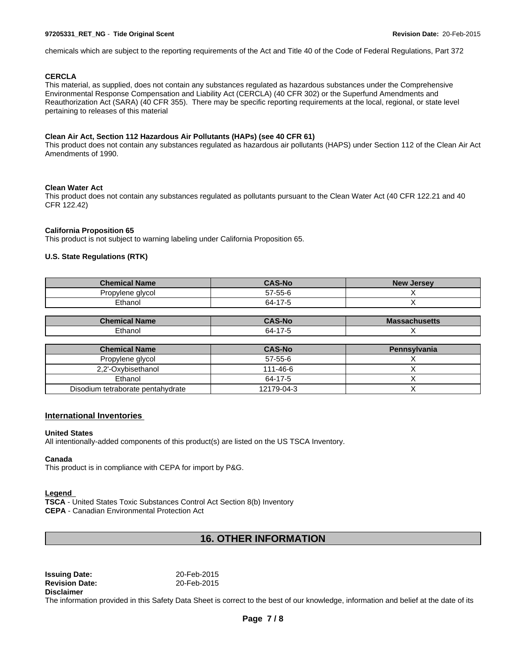#### **97205331\_RET\_NG** - **Tide Original Scent Revision Date:** 20-Feb-2015

chemicals which are subject to the reporting requirements of the Act and Title 40 of the Code of Federal Regulations, Part 372

#### **CERCLA**

This material, as supplied, does not contain any substances regulated as hazardous substances under the Comprehensive Environmental Response Compensation and Liability Act (CERCLA) (40 CFR 302) or the Superfund Amendments and Reauthorization Act (SARA) (40 CFR 355). There may be specific reporting requirements at the local, regional, or state level pertaining to releases of this material

#### **Clean Air Act, Section 112 Hazardous Air Pollutants (HAPs) (see 40 CFR 61)**

This product does not contain any substances regulated as hazardous air pollutants (HAPS) under Section 112 of the Clean Air Act Amendments of 1990.

#### **Clean Water Act**

This product does not contain any substances regulated as pollutants pursuant to the Clean Water Act (40 CFR 122.21 and 40 CFR 122.42)

#### **California Proposition 65**

This product is not subject to warning labeling under California Proposition 65.

#### **U.S. State Regulations (RTK)**

| <b>Chemical Name</b> | <b>CAS-No</b>                               | <b>New</b><br><b>Jersey</b> |
|----------------------|---------------------------------------------|-----------------------------|
| Propylene glycol     | $57 - 55 - 6$                               |                             |
| Ethanol              | 47 <sub>7</sub><br>64-<br>$\sim$ 1.1 $\sim$ |                             |

| $ \mathbf{h}$ | $\sim$ 4 $\sim$ 4 $\sim$<br>TN C | Ma<br><b>ISERIS</b> |
|---------------|----------------------------------|---------------------|
| Ethanol       | nд-                              |                     |

| <b>Chemical Name</b>              | <b>CAS-No</b> | Pennsylvania |
|-----------------------------------|---------------|--------------|
| Propylene glycol                  | 57-55-6       |              |
| 2,2'-Oxybisethanol                | 111-46-6      |              |
| Ethanol                           | 64-17-5       |              |
| Disodium tetraborate pentahydrate | 12179-04-3    |              |

#### **International Inventories**

#### **United States**

All intentionally-added components of this product(s) are listed on the US TSCA Inventory.

#### **Canada**

This product is in compliance with CEPA for import by P&G.

#### **Legend**

**TSCA** - United States Toxic Substances Control Act Section 8(b) Inventory **CEPA** - Canadian Environmental Protection Act

# **16. OTHER INFORMATION**

**Issuing Date:** 20-Feb-2015 **Revision Date:** 20-Feb-2015 **Disclaimer**

The information provided in this Safety Data Sheet is correct to the best of our knowledge, information and belief at the date of its